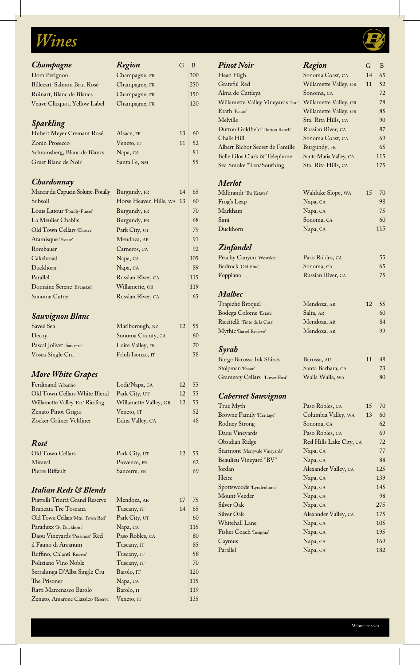# **Wines**

## *Champagne Region* G B Dom Perignon Champagne, FR 300 Billecart-Salmon Brut Rosé Champagne, FR 250 Ruinart, Blanc de Blancs Champagne, FR 150 Veuve Clicquot, Yellow Label Champagne, FR 120 *Sparkling* Hubert Meyer Cremant Rosé Alsace, FR 13 60  $\chi$  Zonin Prosecco Veneto, IT 11 52 Schramsberg, Blanc de Blancs Napa, CA 81 Gruet Blanc de Noir Santa Fe, NM 55 *Chardonnay* Manoir du Capucin Solutre-Pouilly Burgundy, FR 14 65 Subsoil Horse Heaven Hills, WA 13 60 Louis Latour 'Pouilly-Fuissé' Burgundy, FR 70 La Meulier Chablis Burgundy, FR 68 Old Town Cellars 'Elusive' Park City, UT 79 Atamisque 'Estate' Mendoza, AR 91 Rombauer Carneros, CA 92 Cakebread Napa, CA 105 Duckhorn Napa, CA 89 Parallel Russian River, CA 115 Domaine Serene 'Evenstad' Willamette, OR 119 Sonoma Cutrer Russian River, CA 65 *Sauvignon Blanc* Saveé Sea Marlborough, NZ 12 55 Decoy Sonoma County, CA 60 Pascal Jolivet 'Sancerre' Loire Valley, FR 70 Vosca Single Cru Friuli Isonzo, IT 58 *More White Grapes* Ferdinand 'Albariño' Lodi/Napa, CA 12 55 Old Town Cellars White Blend Park City, UT 12 55 Willamette Valley 'Est.' Riesling Willamette Valley, OR 12 | 55 Zenato Pinot Grigio Veneto, IT 32 Zocker Grüner Veltliner Edna Valley, CA 18 *Rosé* Old Town Cellars Park City, UT 12 55 Miraval Provence, FR 62 Pierre Riffault Sancerre, FR 69 *Italian Reds & Blends* Piattelli Trinità Grand Reserve Mendoza, AR 17 75 Brancaia Tre Toscana Tuscany, IT 14 65 Old Town Cellars 'Mtn. Town Red' Park City, UT | 60 Paraduxx 'By Duckhorn' Napa, CA 115 Daou Vineyards 'Pessimist' Red Paso Robles, CA 80 il Fauno di Arcanum Tuscany, IT 85 Ruffino, Chianti 'Riserva' Tuscany, IT 58 Poliziano Vino Noble Tuscany, IT 70 Serralunga D'Alba Single Cru Barolo, IT 120 The Prisoner Napa, CA 115 Ratti Marcenasco Barolo Barolo, IT 119

Zenato, Amarone Classico 'Riserva' Veneto, IT 135